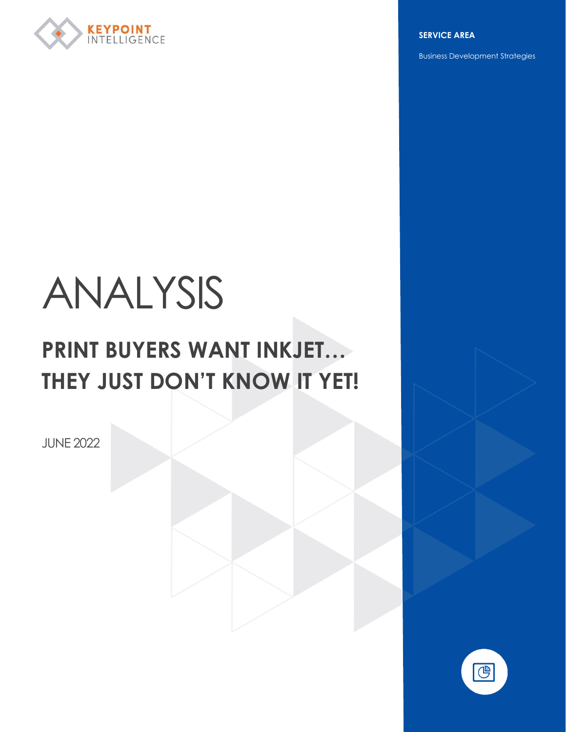

**SERVICE AREA**

Business Development Strategies

# ANALYSIS

# **PRINT BUYERS WANT INKJET… THEY JUST DON'T KNOW IT YET!**

JUNE 2022

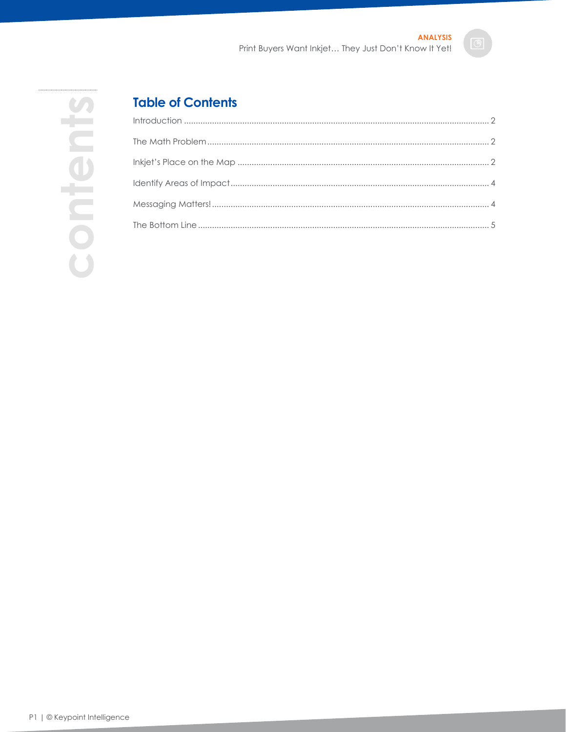# **Table of Contents**

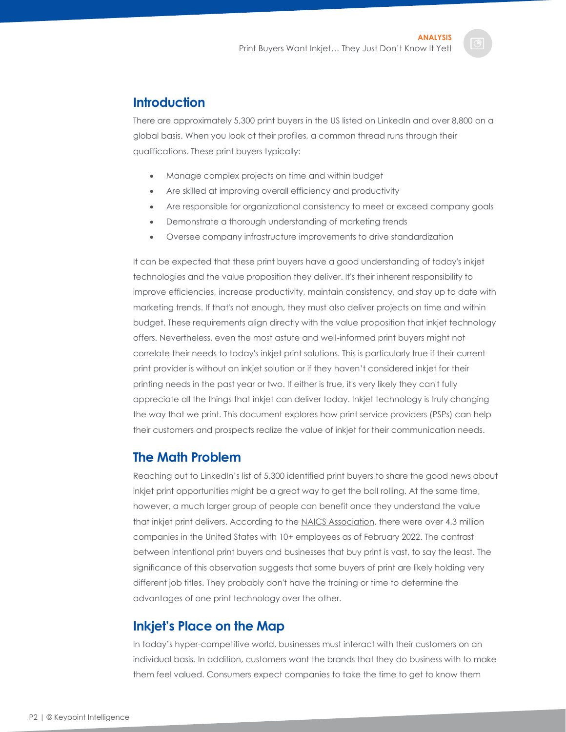#### <span id="page-2-0"></span>**Introduction**

There are approximately 5,300 print buyers in the US listed on LinkedIn and over 8,800 on a global basis. When you look at their profiles, a common thread runs through their qualifications. These print buyers typically:

- Manage complex projects on time and within budget
- Are skilled at improving overall efficiency and productivity
- Are responsible for organizational consistency to meet or exceed company goals
- Demonstrate a thorough understanding of marketing trends
- Oversee company infrastructure improvements to drive standardization

It can be expected that these print buyers have a good understanding of today's inkjet technologies and the value proposition they deliver. It's their inherent responsibility to improve efficiencies, increase productivity, maintain consistency, and stay up to date with marketing trends. If that's not enough, they must also deliver projects on time and within budget. These requirements align directly with the value proposition that inkjet technology offers. Nevertheless, even the most astute and well-informed print buyers might not correlate their needs to today's inkjet print solutions. This is particularly true if their current print provider is without an inkjet solution or if they haven't considered inkjet for their printing needs in the past year or two. If either is true, it's very likely they can't fully appreciate all the things that inkjet can deliver today. Inkjet technology is truly changing the way that we print. This document explores how print service providers (PSPs) can help their customers and prospects realize the value of inkjet for their communication needs.

#### <span id="page-2-1"></span>**The Math Problem**

Reaching out to LinkedIn's list of 5,300 identified print buyers to share the good news about inkjet print opportunities might be a great way to get the ball rolling. At the same time, however, a much larger group of people can benefit once they understand the value that inkjet print delivers. According to the [NAICS Association,](https://www.naics.com/business-lists/counts-by-company-size/) there were over 4.3 million companies in the United States with 10+ employees as of February 2022. The contrast between intentional print buyers and businesses that buy print is vast, to say the least. The significance of this observation suggests that some buyers of print are likely holding very different job titles. They probably don't have the training or time to determine the advantages of one print technology over the other.

#### <span id="page-2-2"></span>**Inkjet's Place on the Map**

In today's hyper-competitive world, businesses must interact with their customers on an individual basis. In addition, customers want the brands that they do business with to make them feel valued. Consumers expect companies to take the time to get to know them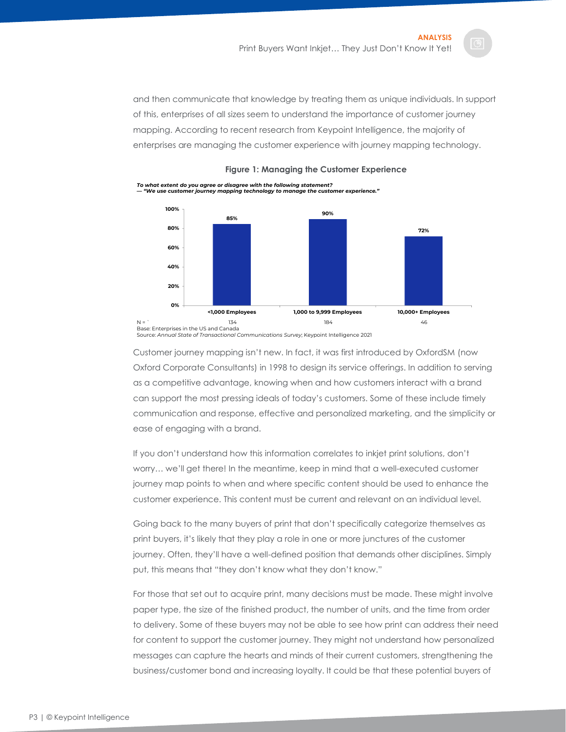and then communicate that knowledge by treating them as unique individuals. In support of this, enterprises of all sizes seem to understand the importance of customer journey mapping. According to recent research from Keypoint Intelligence, the majority of enterprises are managing the customer experience with journey mapping technology.





Source: *Annual State of Transactional Communications Survey*; Keypoint Intelligence 2021

Customer journey mapping isn't new. In fact, it was first introduced by OxfordSM (now Oxford Corporate Consultants) in 1998 to design its service offerings. In addition to serving as a competitive advantage, knowing when and how customers interact with a brand can support the most pressing ideals of today's customers. Some of these include timely communication and response, effective and personalized marketing, and the simplicity or ease of engaging with a brand.

If you don't understand how this information correlates to inkjet print solutions, don't worry… we'll get there! In the meantime, keep in mind that a well-executed customer journey map points to when and where specific content should be used to enhance the customer experience. This content must be current and relevant on an individual level.

Going back to the many buyers of print that don't specifically categorize themselves as print buyers, it's likely that they play a role in one or more junctures of the customer journey. Often, they'll have a well-defined position that demands other disciplines. Simply put, this means that "they don't know what they don't know."

For those that set out to acquire print, many decisions must be made. These might involve paper type, the size of the finished product, the number of units, and the time from order to delivery. Some of these buyers may not be able to see how print can address their need for content to support the customer journey. They might not understand how personalized messages can capture the hearts and minds of their current customers, strengthening the business/customer bond and increasing loyalty. It could be that these potential buyers of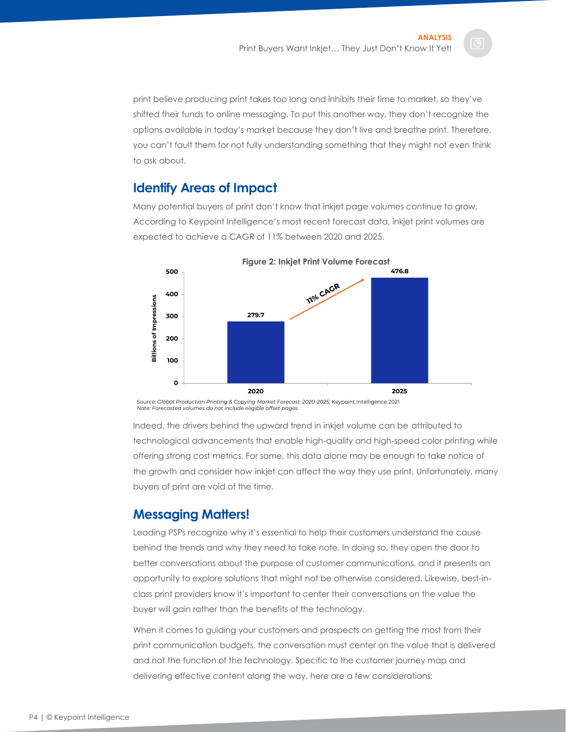print believe producing print takes too long and inhibits their time to market, so they've shifted their funds to online messaging. To put this another way, they don't recognize the options available in today's market because they don't live and breathe print. Therefore, you can't fault them for not fully understanding something that they might not even think to ask about.

### <span id="page-4-0"></span>**Identify Areas of Impact**

Many potential buyers of print don't know that inkjet page volumes continue to grow. According to Keypoint Intelligence's most recent forecast data, inkjet print volumes are expected to achieve a CAGR of 11% between 2020 and 2025.



Source: *Global Production Printing & Copying Market Forecast: 2020-2025*; Keypoint Intelligence 2021 *Note: Forecasted volumes do not include eligible offset pages.*

Indeed, the drivers behind the upward trend in inkjet volume can be attributed to technological advancements that enable high-quality and high-speed color printing while offering strong cost metrics. For some, this data alone may be enough to take notice of the growth and consider how inkjet can affect the way they use print. Unfortunately, many buyers of print are void of the time.

## <span id="page-4-1"></span>**Messaging Matters!**

Leading PSPs recognize why it's essential to help their customers understand the cause behind the trends and why they need to take note. In doing so, they open the door to better conversations about the purpose of customer communications, and it presents an opportunity to explore solutions that might not be otherwise considered. Likewise, best-inclass print providers know it's important to center their conversations on the value the buyer will gain rather than the benefits of the technology.

When it comes to guiding your customers and prospects on getting the most from their print communication budgets, the conversation must center on the value that is delivered and not the function of the technology. Specific to the customer journey map and delivering effective content along the way, here are a few considerations: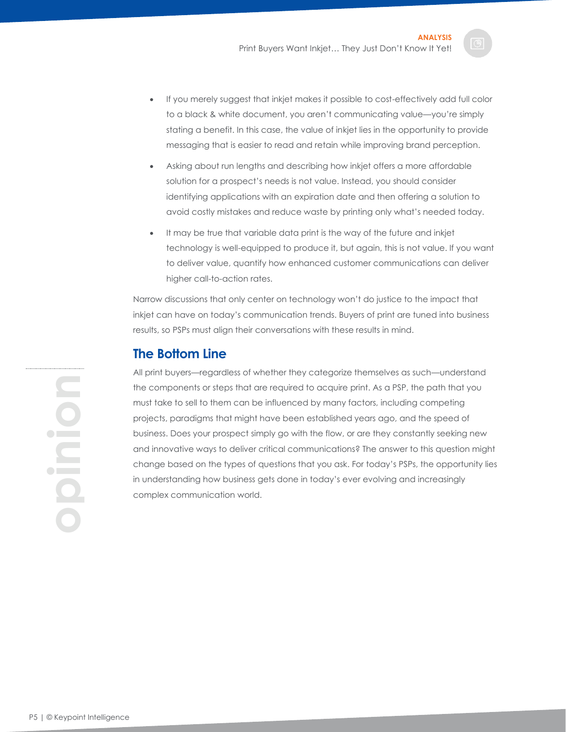- If you merely suggest that inkjet makes it possible to cost-effectively add full color to a black & white document, you aren't communicating value—you're simply stating a benefit. In this case, the value of inkjet lies in the opportunity to provide messaging that is easier to read and retain while improving brand perception.
- Asking about run lengths and describing how inkjet offers a more affordable solution for a prospect's needs is not value. Instead, you should consider identifying applications with an expiration date and then offering a solution to avoid costly mistakes and reduce waste by printing only what's needed today.
- It may be true that variable data print is the way of the future and inkjet technology is well-equipped to produce it, but again, this is not value. If you want to deliver value, quantify how enhanced customer communications can deliver higher call-to-action rates.

Narrow discussions that only center on technology won't do justice to the impact that inkjet can have on today's communication trends. Buyers of print are tuned into business results, so PSPs must align their conversations with these results in mind.

#### <span id="page-5-0"></span>**The Bottom Line**

All print buyers—regardless of whether they categorize themselves as such—understand the components or steps that are required to acquire print. As a PSP, the path that you must take to sell to them can be influenced by many factors, including competing projects, paradigms that might have been established years ago, and the speed of business. Does your prospect simply go with the flow, or are they constantly seeking new and innovative ways to deliver critical communications? The answer to this question might change based on the types of questions that you ask. For today's PSPs, the opportunity lies in understanding how business gets done in today's ever evolving and increasingly complex communication world.

**opinion**